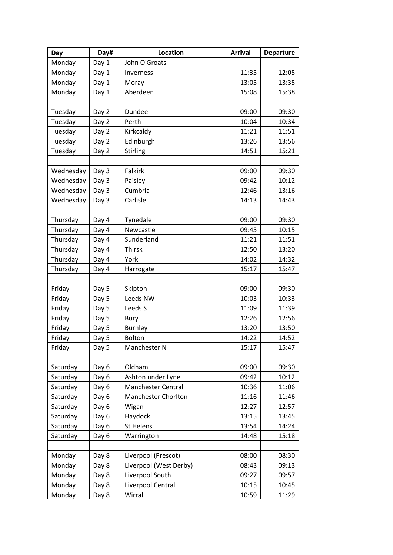| Day       | Day#  | <b>Location</b>            | <b>Arrival</b> | <b>Departure</b> |
|-----------|-------|----------------------------|----------------|------------------|
| Monday    | Day 1 | John O'Groats              |                |                  |
| Monday    | Day 1 | Inverness                  | 11:35          | 12:05            |
| Monday    | Day 1 | Moray                      | 13:05          | 13:35            |
| Monday    | Day 1 | Aberdeen                   | 15:08          | 15:38            |
|           |       |                            |                |                  |
| Tuesday   | Day 2 | Dundee                     | 09:00          | 09:30            |
| Tuesday   | Day 2 | Perth                      | 10:04          | 10:34            |
| Tuesday   | Day 2 | Kirkcaldy                  | 11:21          | 11:51            |
| Tuesday   | Day 2 | Edinburgh                  | 13:26          | 13:56            |
| Tuesday   | Day 2 | Stirling                   | 14:51          | 15:21            |
|           |       |                            |                |                  |
| Wednesday | Day 3 | <b>Falkirk</b>             | 09:00          | 09:30            |
| Wednesday | Day 3 | Paisley                    | 09:42          | 10:12            |
| Wednesday | Day 3 | Cumbria                    | 12:46          | 13:16            |
| Wednesday | Day 3 | Carlisle                   | 14:13          | 14:43            |
|           |       |                            |                |                  |
| Thursday  | Day 4 | Tynedale                   | 09:00          | 09:30            |
| Thursday  | Day 4 | Newcastle                  | 09:45          | 10:15            |
| Thursday  | Day 4 | Sunderland                 | 11:21          | 11:51            |
| Thursday  | Day 4 | <b>Thirsk</b>              | 12:50          | 13:20            |
| Thursday  | Day 4 | York                       | 14:02          | 14:32            |
| Thursday  | Day 4 | Harrogate                  | 15:17          | 15:47            |
|           |       |                            |                |                  |
| Friday    | Day 5 | Skipton                    | 09:00          | 09:30            |
| Friday    | Day 5 | Leeds NW                   | 10:03          | 10:33            |
| Friday    | Day 5 | Leeds S                    | 11:09          | 11:39            |
| Friday    | Day 5 | Bury                       | 12:26          | 12:56            |
| Friday    | Day 5 | <b>Burnley</b>             | 13:20          | 13:50            |
| Friday    | Day 5 | Bolton                     | 14:22          | 14:52            |
| Friday    | Day 5 | Manchester N               | 15:17          | 15:47            |
|           |       |                            |                |                  |
| Saturday  | Day 6 | Oldham                     | 09:00          | 09:30            |
| Saturday  | Day 6 | Ashton under Lyne          | 09:42          | 10:12            |
| Saturday  | Day 6 | <b>Manchester Central</b>  | 10:36          | 11:06            |
| Saturday  | Day 6 | <b>Manchester Chorlton</b> | 11:16          | 11:46            |
| Saturday  | Day 6 | Wigan                      | 12:27          | 12:57            |
| Saturday  | Day 6 | Haydock                    | 13:15          | 13:45            |
| Saturday  | Day 6 | St Helens                  | 13:54          | 14:24            |
| Saturday  | Day 6 | Warrington                 | 14:48          | 15:18            |
|           |       |                            |                |                  |
| Monday    | Day 8 | Liverpool (Prescot)        | 08:00          | 08:30            |
| Monday    | Day 8 | Liverpool (West Derby)     | 08:43          | 09:13            |
| Monday    | Day 8 | Liverpool South            | 09:27          | 09:57            |
| Monday    | Day 8 | Liverpool Central          | 10:15          | 10:45            |
| Monday    | Day 8 | Wirral                     | 10:59          | 11:29            |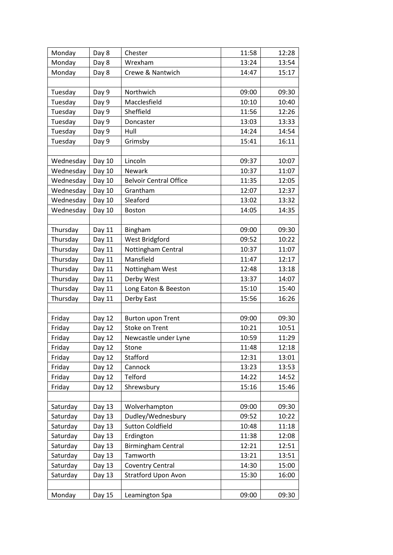| Monday    | Day 8  | Chester                       | 11:58 | 12:28 |
|-----------|--------|-------------------------------|-------|-------|
| Monday    | Day 8  | Wrexham                       | 13:24 | 13:54 |
| Monday    | Day 8  | Crewe & Nantwich              | 14:47 | 15:17 |
|           |        |                               |       |       |
| Tuesday   | Day 9  | Northwich                     | 09:00 | 09:30 |
| Tuesday   | Day 9  | Macclesfield                  | 10:10 | 10:40 |
| Tuesday   | Day 9  | Sheffield                     | 11:56 | 12:26 |
| Tuesday   | Day 9  | Doncaster                     | 13:03 | 13:33 |
| Tuesday   | Day 9  | Hull                          | 14:24 | 14:54 |
| Tuesday   | Day 9  | Grimsby                       | 15:41 | 16:11 |
|           |        |                               |       |       |
| Wednesday | Day 10 | Lincoln                       | 09:37 | 10:07 |
| Wednesday | Day 10 | <b>Newark</b>                 | 10:37 | 11:07 |
| Wednesday | Day 10 | <b>Belvoir Central Office</b> | 11:35 | 12:05 |
| Wednesday | Day 10 | Grantham                      | 12:07 | 12:37 |
| Wednesday | Day 10 | Sleaford                      | 13:02 | 13:32 |
| Wednesday | Day 10 | <b>Boston</b>                 | 14:05 | 14:35 |
|           |        |                               |       |       |
| Thursday  | Day 11 | Bingham                       | 09:00 | 09:30 |
| Thursday  | Day 11 | West Bridgford                | 09:52 | 10:22 |
| Thursday  | Day 11 | Nottingham Central            | 10:37 | 11:07 |
| Thursday  | Day 11 | Mansfield                     | 11:47 | 12:17 |
| Thursday  | Day 11 | Nottingham West               | 12:48 | 13:18 |
| Thursday  | Day 11 | Derby West                    | 13:37 | 14:07 |
| Thursday  | Day 11 | Long Eaton & Beeston          | 15:10 | 15:40 |
| Thursday  | Day 11 | Derby East                    | 15:56 | 16:26 |
|           |        |                               |       |       |
| Friday    | Day 12 | <b>Burton upon Trent</b>      | 09:00 | 09:30 |
| Friday    | Day 12 | Stoke on Trent                | 10:21 | 10:51 |
| Friday    | Day 12 | Newcastle under Lyne          | 10:59 | 11:29 |
| Friday    | Day 12 | Stone                         | 11:48 | 12:18 |
| Friday    | Day 12 | Stafford                      | 12:31 | 13:01 |
| Friday    | Day 12 | Cannock                       | 13:23 | 13:53 |
| Friday    | Day 12 | Telford                       | 14:22 | 14:52 |
| Friday    | Day 12 | Shrewsbury                    | 15:16 | 15:46 |
|           |        |                               |       |       |
| Saturday  | Day 13 | Wolverhampton                 | 09:00 | 09:30 |
| Saturday  | Day 13 | Dudley/Wednesbury             | 09:52 | 10:22 |
| Saturday  | Day 13 | <b>Sutton Coldfield</b>       | 10:48 | 11:18 |
| Saturday  | Day 13 | Erdington                     | 11:38 | 12:08 |
| Saturday  | Day 13 | <b>Birmingham Central</b>     | 12:21 | 12:51 |
| Saturday  | Day 13 | Tamworth                      | 13:21 | 13:51 |
| Saturday  | Day 13 | <b>Coventry Central</b>       | 14:30 | 15:00 |
| Saturday  | Day 13 | <b>Stratford Upon Avon</b>    | 15:30 | 16:00 |
|           |        |                               |       |       |
| Monday    | Day 15 | Leamington Spa                | 09:00 | 09:30 |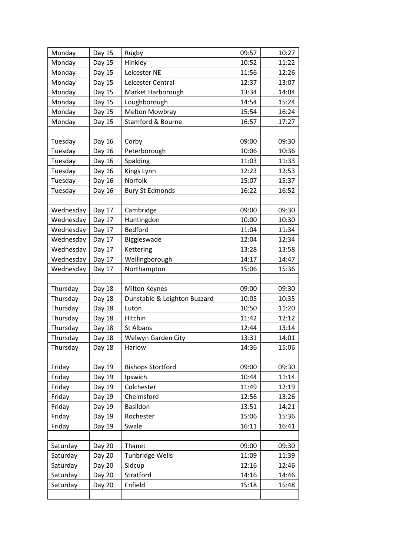| Monday    | Day 15        | Rugby                        | 09:57 | 10:27 |
|-----------|---------------|------------------------------|-------|-------|
| Monday    | Day 15        | Hinkley                      | 10:52 | 11:22 |
| Monday    | Day 15        | Leicester NE                 | 11:56 | 12:26 |
| Monday    | Day 15        | Leicester Central            | 12:37 | 13:07 |
| Monday    | Day 15        | Market Harborough            | 13:34 | 14:04 |
| Monday    | Day 15        | Loughborough                 | 14:54 | 15:24 |
| Monday    | Day 15        | <b>Melton Mowbray</b>        | 15:54 | 16:24 |
| Monday    | Day 15        | Stamford & Bourne            | 16:57 | 17:27 |
|           |               |                              |       |       |
| Tuesday   | Day 16        | Corby                        | 09:00 | 09:30 |
| Tuesday   | Day 16        | Peterborough                 | 10:06 | 10:36 |
| Tuesday   | Day 16        | Spalding                     | 11:03 | 11:33 |
| Tuesday   | Day 16        | Kings Lynn                   | 12:23 | 12:53 |
| Tuesday   | Day 16        | Norfolk                      | 15:07 | 15:37 |
| Tuesday   | Day 16        | <b>Bury St Edmonds</b>       | 16:22 | 16:52 |
|           |               |                              |       |       |
| Wednesday | Day 17        | Cambridge                    | 09:00 | 09:30 |
| Wednesday | Day 17        | Huntingdon                   | 10:00 | 10:30 |
| Wednesday | Day 17        | <b>Bedford</b>               | 11:04 | 11:34 |
| Wednesday | Day 17        | Biggleswade                  | 12:04 | 12:34 |
| Wednesday | Day 17        | Kettering                    | 13:28 | 13:58 |
| Wednesday | Day 17        | Wellingborough               | 14:17 | 14:47 |
| Wednesday | Day 17        | Northampton                  | 15:06 | 15:36 |
|           |               |                              |       |       |
| Thursday  | Day 18        | <b>Milton Keynes</b>         | 09:00 | 09:30 |
| Thursday  | Day 18        | Dunstable & Leighton Buzzard | 10:05 | 10:35 |
| Thursday  | Day 18        | Luton                        | 10:50 | 11:20 |
| Thursday  | Day 18        | Hitchin                      | 11:42 | 12:12 |
| Thursday  | Day 18        | <b>St Albans</b>             | 12:44 | 13:14 |
| Thursday  | Day 18        | Welwyn Garden City           | 13:31 | 14:01 |
| Thursday  | Day 18        | Harlow                       | 14:36 | 15:06 |
|           |               |                              |       |       |
| Friday    | Day 19        | <b>Bishops Stortford</b>     | 09:00 | 09:30 |
| Friday    | Day 19        | Ipswich                      | 10:44 | 11:14 |
| Friday    | Day 19        | Colchester                   | 11:49 | 12:19 |
| Friday    | Day 19        | Chelmsford                   | 12:56 | 13:26 |
| Friday    | Day 19        | Basildon                     | 13:51 | 14:21 |
| Friday    | Day 19        | Rochester                    | 15:06 | 15:36 |
| Friday    | Day 19        | Swale                        | 16:11 | 16:41 |
|           |               |                              |       |       |
| Saturday  | Day 20        | Thanet                       | 09:00 | 09:30 |
| Saturday  | Day 20        | <b>Tunbridge Wells</b>       | 11:09 | 11:39 |
| Saturday  | Day 20        | Sidcup                       | 12:16 | 12:46 |
| Saturday  | Day 20        | Stratford                    | 14:16 | 14:46 |
| Saturday  | <b>Day 20</b> | Enfield                      | 15:18 | 15:48 |
|           |               |                              |       |       |